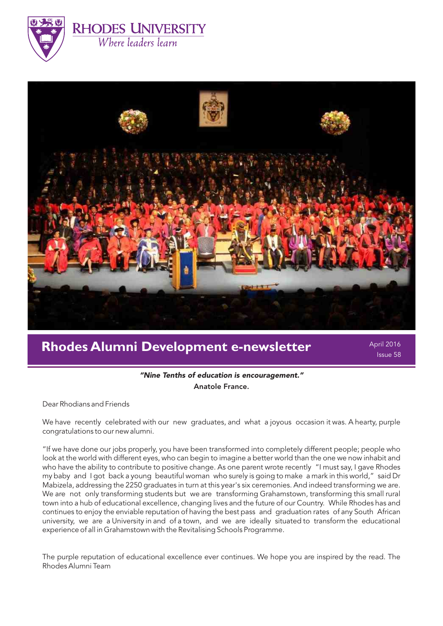



# **Rhodes Alumni Development e-newsletter**

April 2016 Issue 58

# "Nine Tenths of education is encouragement." Anatole France.

Dear Rhodians and Friends

We have recently celebrated with our new graduates, and what a joyous occasion it was. A hearty, purple congratulations to our new alumni.

"If we have done our jobs properly, you have been transformed into completely different people; people who look at the world with different eyes, who can begin to imagine a better world than the one we now inhabit and who have the ability to contribute to positive change. As one parent wrote recently "I must say, I gave Rhodes my baby and I got back a young beautiful woman who surely is going to make a mark in this world," said Dr Mabizela, addressing the 2250 graduates in turn at this year's six ceremonies. And indeed transforming we are. We are not only transforming students but we are transforming Grahamstown, transforming this small rural town into a hub of educational excellence, changing lives and the future of our Country. While Rhodes has and continues to enjoy the enviable reputation of having the best pass and graduation rates of any South African university, we are a University in and of a town, and we are ideally situated to transform the educational experience of all in Grahamstown with the Revitalising Schools Programme.

The purple reputation of educational excellence ever continues. We hope you are inspired by the read. The Rhodes Alumni Team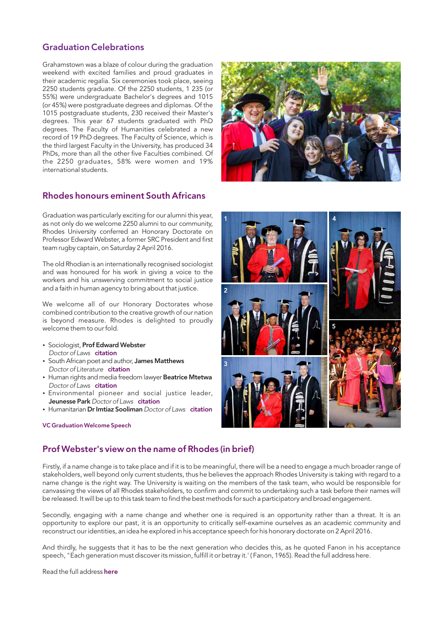# Graduation Celebrations

Grahamstown was a blaze of colour during the graduation weekend with excited families and proud graduates in their academic regalia. Six ceremonies took place, seeing 2250 students graduate. Of the 2250 students, 1 235 (or 55%) were undergraduate Bachelor's degrees and 1015 (or 45%) were postgraduate degrees and diplomas. Of the 1015 postgraduate students, 230 received their Master's degrees. This year 67 students graduated with PhD degrees. The Faculty of Humanities celebrated a new record of 19 PhD degrees. The Faculty of Science, which is the third largest Faculty in the University, has produced 34 PhDs, more than all the other five Faculties combined. Of the 2250 graduates, 58% were women and 19% international students.



### Rhodes honours eminent South Africans

Graduation was particularly exciting for our alumni this year, as not only do we welcome 2250 alumni to our community, Rhodes University conferred an Honorary Doctorate on Professor Edward Webster, a former SRC President and first team rugby captain, on Saturday 2 April 2016.

The old Rhodian is an internationally recognised sociologist and was honoured for his work in giving a voice to the workers and his unswerving commitment to social justice and a faith in human agency to bring about that justice.

We welcome all of our Honorary Doctorates whose combined contribution to the creative growth of our nation is beyond measure. Rhodes is delighted to proudly welcome them to our fold.

- Sociologist, Prof Edward Webster Doctor of Laws [citation](http://www.ru.ac.za/media/rhodesuniversity/content/alumni/documents/CITATION%20FOR%20EDWARD%20WEBSTER.pdf)
- South African poet and author, James Matthews Doctor of Literature [citation](http://www.ru.ac.za/media/rhodesuniversity/content/alumni/documents/CITATION%20FOR%20JAMES%20MATTHEWS%20%282%29.pdf)
- Human rights and media freedom lawyer Beatrice Mtetwa Doctor of Laws [citation](http://www.ru.ac.za/media/rhodesuniversity/content/alumni/documents/CITATION%20FOR%20BEATRICE%20MTETWA.pdf)
- **Environmental pioneer and social justice leader, Jeunesse Park Doctor of Laws [citation](http://www.ru.ac.za/media/rhodesuniversity/content/alumni/documents/CITATION%20FOR%20JEUNESSE%20PARK%20%282%29.pdf)**
- Humanitarian Dr Imtiaz Sooliman Doctor of Laws [citation](http://www.ru.ac.za/media/rhodesuniversity/content/alumni/documents/CITATION%20FOR%20DR%20IMTIAZ%20SOOLIMAN.pdf)

#### [VC Graduation Welcome Speech](http://www.ru.ac.za/media/rhodesuniversity/content/alumni/documents/2016%20VC%20Graduation%20Welcome.pdf)



# Prof Webster's view on the name of Rhodes (in brief)

Firstly, if a name change is to take place and if it is to be meaningful, there will be a need to engage a much broader range of stakeholders, well beyond only current students, thus he believes the approach Rhodes University is taking with regard to a name change is the right way. The University is waiting on the members of the task team, who would be responsible for canvassing the views of all Rhodes stakeholders, to confirm and commit to undertaking such a task before their names will be released. It will be up to this task team to find the best methods for such a participatory and broad engagement.

Secondly, engaging with a name change and whether one is required is an opportunity rather than a threat. It is an opportunity to explore our past, it is an opportunity to critically self-examine ourselves as an academic community and reconstruct our identities, an idea he explored in his acceptance speech for his honorary doctorate on 2 April 2016.

And thirdly, he suggests that it has to be the next generation who decides this, as he quoted Fanon in his acceptance speech, "Each generation must discover its mission, fulfill it or betray it.' ( Fanon, 1965). Read the full address here.

Read the full address [here](http://www.ru.ac.za/graduationgateway/honorarydoctorates/2016/)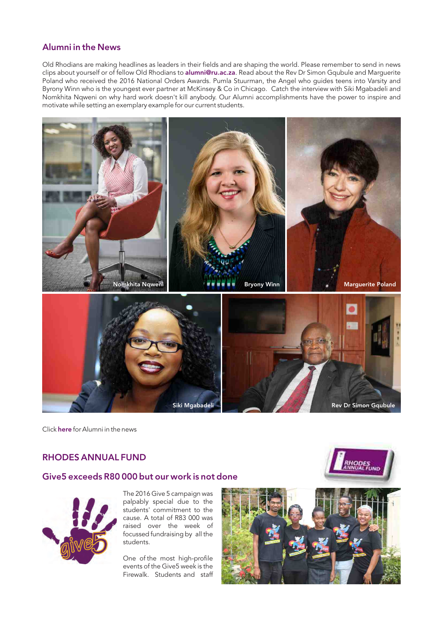# Alumni in the News

Old Rhodians are making headlines as leaders in their fields and are shaping the world. Please remember to send in news clips about yourself or of fellow Old Rhodians to [alumni@ru.ac.za](mailto:alumni@ru.ac.za). Read about the Rev Dr Simon Gqubule and Marquerite Poland who received the 2016 National Orders Awards. Pumla Stuurman, the Angel who guides teens into Varsity and Byrony Winn who is the youngest ever partner at McKinsey & Co in Chicago. Catch the interview with Siki Mgabadeli and Nomkhita Nqweni on why hard work doesn't kill anybody. Our Alumni accomplishments have the power to inspire and motivate while setting an exemplary example for our current students.



Clic[k](http://www.ru.ac.za/alumni/alumnirelations/news/alumniinthenews/) here for Alumni in the news

### RHODES ANNUAL FUND

### Give5 exceeds R80 000 but our work is not done



The 2016 Give 5 campaign was palpably special due to the students' commitment to the cause. A total of R83 000 was raised over the week of focussed fundraising by all the students.

One of the most high-profile events of the Give5 week is the Firewalk. Students and staff



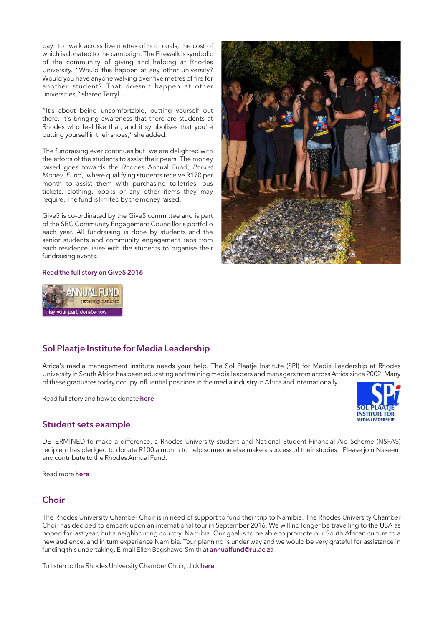pay to walk across five metres of hot coals, the cost of which is donated to the campaign. The Firewalk is symbolic of the community of giving and helping at Rhodes University. "Would this happen at any other university? Would you have anyone walking over five metres of fire for another student? That doesn't happen at other universities," shared Terryl.

"It's about being uncomfortable, putting yourself out there. It's bringing awareness that there are students at Rhodes who feel like that, and it symbolises that you're putting yourself in their shoes," she added.

The fundraising ever continues but we are delighted with the efforts of the students to assist their peers. The money raised goes towards the Rhodes Annual Fund, Pocket Money Fund, where qualifying students receive R170 per month to assist them with purchasing toiletries, bus tickets, clothing, books or any other items they may require. The fund is limited by the money raised.

Give5 is co-ordinated by the Give5 committee and is part of the SRC Community Engagement Councillor's portfolio each year. All fundraising is done by students and the senior students and community engagement reps from each residence liaise with the students to organise their fundraising events.







# Sol Plaatje Institute for Media Leadership

Africa's media management institute needs your help. The Sol Plaatje Institute (SPI) for Media Leadership at Rhodes University in South Africa has been educating and training media leaders and managers from across Africa since 2002. Many of these graduates today occupy influential positions in the media industry in Africa and internationally.

Read full story and how to donate [here](http://www.ru.ac.za/alumni/giving/latestnews/solplaatjeinstituteformedialeadership.html)

#### Student sets example

DETERMINED to make a difference, a Rhodes University student and National Student Financial Aid Scheme (NSFAS) recipient has pledged to donate R100 a month to help someone else make a success of their studies. Please join Naseem and contribute to the Rhodes Annual Fund.

Read more [here](http://www.heraldlive.co.za/student-sets-example/)

### **Choir**

The Rhodes University Chamber Choir is in need of support to fund their trip to Namibia. The Rhodes University Chamber Choir has decided to embark upon an international tour in September 2016. We will no longer be travelling to the USA as hoped for last year, but a neighbouring country, Namibia. Our goal is to be able to promote our South African culture to a new audience, and in turn experience Namibia. Tour planning is under way and we would be very grateful for assistance in funding this undertaking. E-mail Ellen Bagshawe-Smith at [annualfund@ru.ac.za](mailto:annualfund@ru.ac.za)

To listen to the Rhodes University Chamber Choir, click [here](https://www.youtube.com/channel/UCI__403rH-Odo-VqSphsS3g/videos)

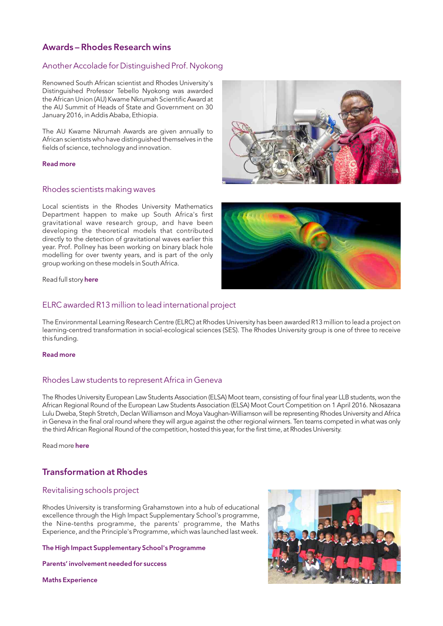# Awards – Rhodes Research wins

#### Another Accolade for Distinguished Prof. Nyokong

Renowned South African scientist and Rhodes University's Distinguished Professor Tebello Nyokong was awarded the African Union (AU) Kwame Nkrumah Scientific Award at the AU Summit of Heads of State and Government on 30 January 2016, in Addis Ababa, Ethiopia.

The AU Kwame Nkrumah Awards are given annually to African scientists who have distinguished themselves in the fields of science, technology and innovation.

#### [Read more](http://www.ru.ac.za/news/latestnews/preszumacongratulatesprofnyokong.html)

#### Rhodes scientists making waves

Local scientists in the Rhodes University Mathematics Department happen to make up South Africa's first gravitational wave research group, and have been developing the theoretical models that contributed directly to the detection of gravitational waves earlier this year. Prof. Pollney has been working on binary black hole modelling for over twenty years, and is part of the only group working on these models in South Africa.

Read full story [here](http://www.ru.ac.za/news/latestnews/scifestafricaamatteroftime.html) 

#### ELRC awarded R13 million to lead international project

The Environmental Learning Research Centre (ELRC) at Rhodes University has been awarded R13 million to lead a project on learning-centred transformation in social-ecological sciences (SES). The Rhodes University group is one of three to receive this funding.

#### [Read more](https://www.ru.ac.za/latestnews/elrcawardedr13milliontoleadinternationalproject.html)

#### Rhodes Law students to represent Africa in Geneva

The Rhodes University European Law Students Association (ELSA) Moot team, consisting of four final year LLB students, won the African Regional Round of the European Law Students Association (ELSA) Moot Court Competition on 1 April 2016. Nkosazana Lulu Dweba, Steph Stretch, Declan Williamson and Moya Vaughan-Williamson will be representing Rhodes University and Africa in Geneva in the final oral round where they will argue against the other regional winners. Ten teams competed in what was only the third African Regional Round of the competition, hosted this year, for the first time, at Rhodes University.

Read more [here](http://www.ru.ac.za/news/latestnews/rhodeslawstudentstorepresentafricaingeneva.html)

# Transformation at Rhodes

#### Revitalising schools project

Rhodes University is transforming Grahamstown into a hub of educational excellence through the High Impact Supplementary School's programme, the Nine-tenths programme, the parents' programme, the Maths Experience, and the Principle's Programme, which was launched last week.

#### [The High Impact Supplementary School's Programme](http://www.ru.ac.za/news/latestnews/rhodesgadraoffermatricsasecondchance.html)

[Parents' involvement needed for success](http://www.ru.ac.za/news/latestnews/topstudentsjourneytorhodes.html)

[Maths Experience](http://www.ru.ac.za/news/latestnews/mathematicsexperience2016.html)





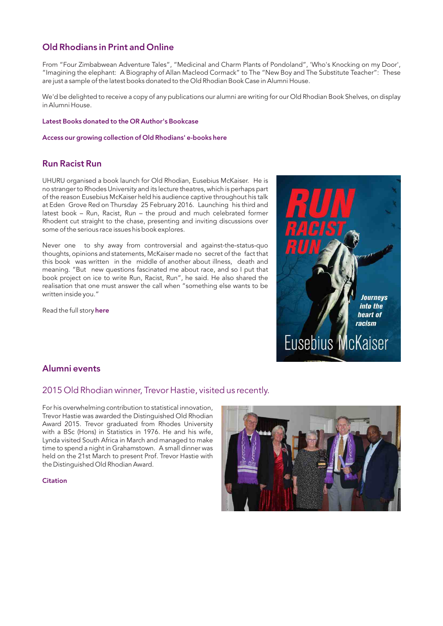# Old Rhodians in Print and Online

From "Four Zimbabwean Adventure Tales", "Medicinal and Charm Plants of Pondoland", 'Who's Knocking on my Door', "Imagining the elephant: A Biography of Allan Macleod Cormack" to The "New Boy and The Substitute Teacher": These are just a sample of the latest books donated to the Old Rhodian Book Case in Alumni House.

We'd be delighted to receive a copy of any publications our alumni are writing for our Old Rhodian Book Shelves, on display in Alumni House.

#### [Latest Books donated to the OR Author's Bookcase](http://www.ru.ac.za/alumni/resources/orauthors/latestbooksdonatedtoru/)

[Access our growing collection of Old Rhodians' e-books here](http://www.ru.ac.za/alumni/resources/orauthors/newe--booksbyoldrhodians/)

### Run Racist Run

UHURU organised a book launch for Old Rhodian, Eusebius McKaiser. He is no stranger to Rhodes University and its lecture theatres, which is perhaps part of the reason Eusebius McKaiser held his audience captive throughout his talk at Eden Grove Red on Thursday 25 February 2016. Launching his third and latest book – Run, Racist, Run – the proud and much celebrated former Rhodent cut straight to the chase, presenting and inviting discussions over some of the serious race issues his book explores.

Never one to shy away from controversial and against-the-status-quo thoughts, opinions and statements, McKaiser made no secret of the fact that this book was written in the middle of another about illness, death and meaning. "But new questions fascinated me about race, and so I put that book project on ice to write Run, Racist, Run", he said. He also shared the realisation that one must answer the call when "something else wants to be written inside you."

Read the full story [here](http://www.ru.ac.za/alumni/news/eusebiusmckaiserpresentsrunracistrun.html) 



### Alumni events

#### 2015 Old Rhodian winner, Trevor Hastie, visited us recently.

For his overwhelming contribution to statistical innovation, Trevor Hastie was awarded the Distinguished Old Rhodian Award 2015. Trevor graduated from Rhodes University with a BSc (Hons) in Statistics in 1976. He and his wife, Lynda visited South Africa in March and managed to make time to spend a night in Grahamstown. A small dinner was held on the 21st March to present Prof. Trevor Hastie with the Distinguished Old Rhodian Award.

**[Citation](http://www.ru.ac.za/alumni/alumnirelations/oldrhodianunion/oldrhodianawards/2015recipientsfinal/trevorhastiedistinguishedoldrhodianaward.html)** 

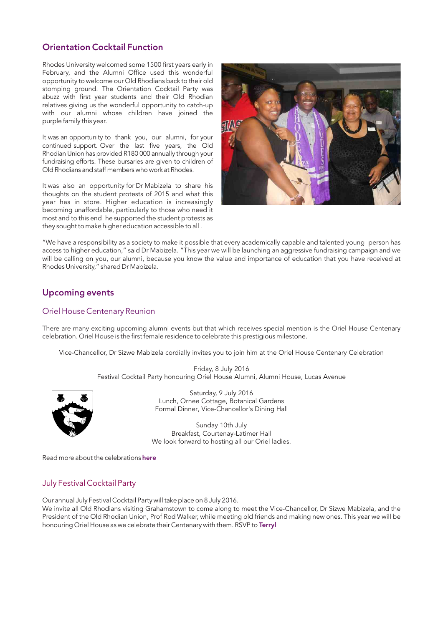# Orientation Cocktail Function

Rhodes University welcomed some 1500 first years early in February, and the Alumni Office used this wonderful opportunity to welcome our Old Rhodians back to their old stomping ground. The Orientation Cocktail Party was abuzz with first year students and their Old Rhodian relatives giving us the wonderful opportunity to catch-up with our alumni whose children have joined the purple family this year.

It was an opportunity to thank you, our alumni, for your continued support. Over the last five years, the Old Rhodian Union has provided R180 000 annually through your fundraising efforts. These bursaries are given to children of Old Rhodians and staff members who work at Rhodes.

It was also an opportunity for Dr Mabizela to share his thoughts on the student protests of 2015 and what this year has in store. Higher education is increasingly becoming unaffordable, particularly to those who need it most and to this end he supported the student protests as they sought to make higher education accessible to all .



"We have a responsibility as a society to make it possible that every academically capable and talented young person has access to higher education," said Dr Mabizela. "This year we will be launching an aggressive fundraising campaign and we will be calling on you, our alumni, because you know the value and importance of education that you have received at Rhodes University," shared Dr Mabizela.

# Upcoming events

#### Oriel House Centenary Reunion

There are many exciting upcoming alumni events but that which receives special mention is the Oriel House Centenary celebration. Oriel House is the first female residence to celebrate this prestigious milestone.

Vice-Chancellor, Dr Sizwe Mabizela cordially invites you to join him at the Oriel House Centenary Celebration

Friday, 8 July 2016 Festival Cocktail Party honouring Oriel House Alumni, Alumni House, Lucas Avenue



Saturday, 9 July 2016 Lunch, Ornee Cottage, Botanical Gardens Formal Dinner, Vice-Chancellor's Dining Hall

Sunday 10th July Breakfast, Courtenay-Latimer Hall We look forward to hosting all our Oriel ladies.

Read more about the celebrations [here](http://www.ru.ac.za/alumni/alumnirelations/events/events2016/orielhousecentenarycelebrations/)

### July Festival Cocktail Party

Our annual July Festival Cocktail Party will take place on 8 July 2016.

We invite all Old Rhodians visiting Grahamstown to come along to meet the Vice-Chancellor, Dr Sizwe Mabizela, and the President of the Old Rhodian Union, Prof Rod Walker, while meeting old friends and making new ones. This year we will be honouring Oriel House as we celebrate their Centenary with them. RSVP to Terryl